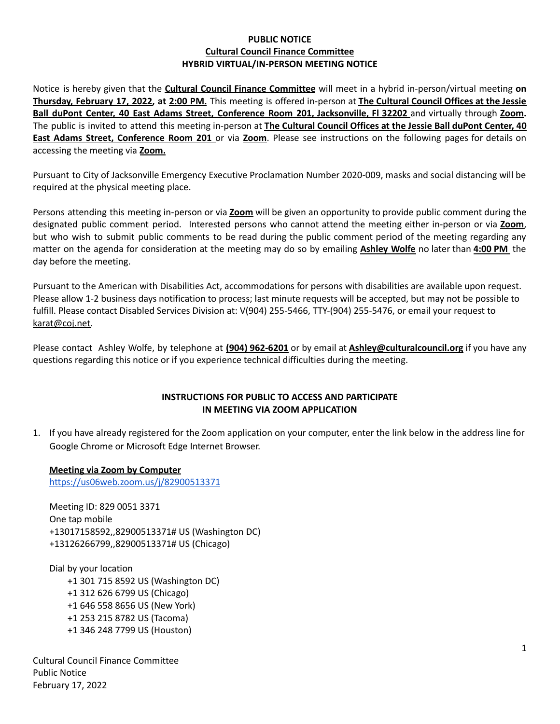# **PUBLIC NOTICE Cultural Council Finance Committee HYBRID VIRTUAL/IN-PERSON MEETING NOTICE**

Notice is hereby given that the **Cultural Council Finance Committee** will meet in a hybrid in-person/virtual meeting **on Thursday, February 17, 2022, at 2:00 PM.** This meeting is offered in-person at **The Cultural Council Offices at the Jessie Ball duPont Center, 40 East Adams Street, Conference Room 201, Jacksonville, Fl 32202** and virtually through **Zoom.** The public is invited to attend this meeting in-person at **The Cultural Council Offices at the Jessie Ball duPont Center, 40 East Adams Street, Conference Room 201** or via **Zoom**. Please see instructions on the following pages for details on accessing the meeting via **Zoom.**

Pursuant to City of Jacksonville Emergency Executive Proclamation Number 2020-009, masks and social distancing will be required at the physical meeting place.

Persons attending this meeting in-person or via **Zoom** will be given an opportunity to provide public comment during the designated public comment period. Interested persons who cannot attend the meeting either in-person or via **Zoom**, but who wish to submit public comments to be read during the public comment period of the meeting regarding any matter on the agenda for consideration at the meeting may do so by emailing **Ashley Wolfe** no later than **4:00 PM** the day before the meeting.

Pursuant to the American with Disabilities Act, accommodations for persons with disabilities are available upon request. Please allow 1-2 business days notification to process; last minute requests will be accepted, but may not be possible to fulfill. Please contact Disabled Services Division at: V(904) 255-5466, TTY-(904) 255-5476, or email your request to [karat@coj.net.](mailto:karat@coj.net)

Please contact Ashley Wolfe, by telephone at **(904) 962-6201** or by email at **Ashley@culturalcouncil.org** if you have any questions regarding this notice or if you experience technical difficulties during the meeting.

# **INSTRUCTIONS FOR PUBLIC TO ACCESS AND PARTICIPATE IN MEETING VIA ZOOM APPLICATION**

1. If you have already registered for the Zoom application on your computer, enter the link below in the address line for Google Chrome or Microsoft Edge Internet Browser.

# **Meeting via Zoom by Computer**

<https://us06web.zoom.us/j/82900513371>

Meeting ID: 829 0051 3371 One tap mobile +13017158592,,82900513371# US (Washington DC) +13126266799,,82900513371# US (Chicago)

Dial by your location +1 301 715 8592 US (Washington DC) +1 312 626 6799 US (Chicago) +1 646 558 8656 US (New York) +1 253 215 8782 US (Tacoma) +1 346 248 7799 US (Houston)

Cultural Council Finance Committee Public Notice February 17, 2022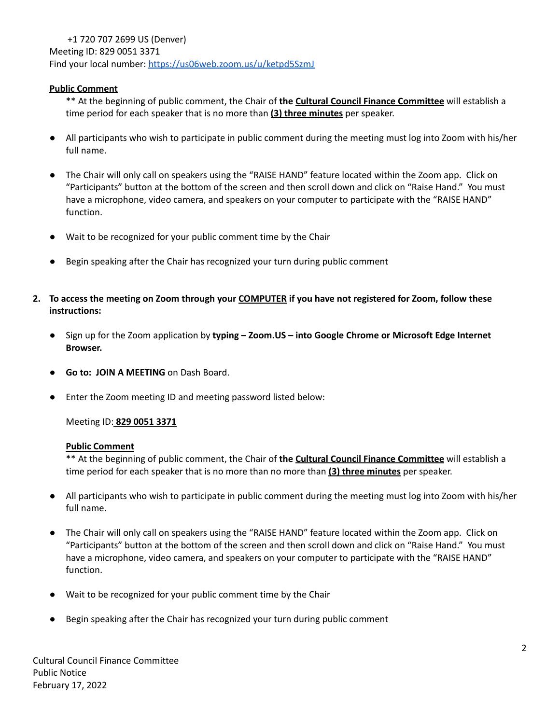+1 720 707 2699 US (Denver) Meeting ID: 829 0051 3371 Find your local number: <https://us06web.zoom.us/u/ketpd5SzmJ>

### **Public Comment**

\*\* At the beginning of public comment, the Chair of **the Cultural Council Finance Committee** will establish a time period for each speaker that is no more than **(3) three minutes** per speaker.

- All participants who wish to participate in public comment during the meeting must log into Zoom with his/her full name.
- The Chair will only call on speakers using the "RAISE HAND" feature located within the Zoom app. Click on "Participants" button at the bottom of the screen and then scroll down and click on "Raise Hand." You must have a microphone, video camera, and speakers on your computer to participate with the "RAISE HAND" function.
- Wait to be recognized for your public comment time by the Chair
- Begin speaking after the Chair has recognized your turn during public comment
- 2. To access the meeting on Zoom through your COMPUTER if you have not registered for Zoom, follow these **instructions:**
	- **●** Sign up for the Zoom application by **typing – Zoom.US – into Google Chrome or Microsoft Edge Internet Browser.**
	- **Go to: JOIN A MEETING** on Dash Board.
	- **●** Enter the Zoom meeting ID and meeting password listed below:

#### Meeting ID: **829 0051 3371**

#### **Public Comment**

\*\* At the beginning of public comment, the Chair of **the Cultural Council Finance Committee** will establish a time period for each speaker that is no more than no more than **(3) three minutes** per speaker.

- All participants who wish to participate in public comment during the meeting must log into Zoom with his/her full name.
- The Chair will only call on speakers using the "RAISE HAND" feature located within the Zoom app. Click on "Participants" button at the bottom of the screen and then scroll down and click on "Raise Hand." You must have a microphone, video camera, and speakers on your computer to participate with the "RAISE HAND" function.
- Wait to be recognized for your public comment time by the Chair
- Begin speaking after the Chair has recognized your turn during public comment